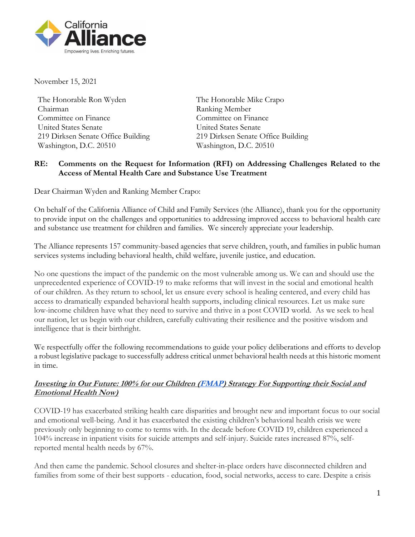

November 15, 2021

The Honorable Ron Wyden Chairman Committee on Finance United States Senate 219 Dirksen Senate Office Building Washington, D.C. 20510

The Honorable Mike Crapo Ranking Member Committee on Finance United States Senate 219 Dirksen Senate Office Building Washington, D.C. 20510

#### **RE: Comments on the Request for Information (RFI) on Addressing Challenges Related to the Access of Mental Health Care and Substance Use Treatment**

Dear Chairman Wyden and Ranking Member Crapo:

On behalf of the California Alliance of Child and Family Services (the Alliance), thank you for the opportunity to provide input on the challenges and opportunities to addressing improved access to behavioral health care and substance use treatment for children and families. We sincerely appreciate your leadership.

The Alliance represents 157 community-based agencies that serve children, youth, and families in public human services systems including behavioral health, child welfare, juvenile justice, and education.

No one questions the impact of the pandemic on the most vulnerable among us. We can and should use the unprecedented experience of COVID-19 to make reforms that will invest in the social and emotional health of our children. As they return to school, let us ensure every school is healing centered, and every child has access to dramatically expanded behavioral health supports, including clinical resources. Let us make sure low-income children have what they need to survive and thrive in a post COVID world. As we seek to heal our nation, let us begin with our children, carefully cultivating their resilience and the positive wisdom and intelligence that is their birthright.

We respectfully offer the following recommendations to guide your policy deliberations and efforts to develop a robust legislative package to successfully address critical unmet behavioral health needs at this historic moment in time.

## **Investing in Our Future: 100% for our Children [\(FMAP\)](https://nam02.safelinks.protection.outlook.com/?url=https%3A%2F%2Faspe.hhs.gov%2Ffederal-medical-assistance-percentages-or-federal-financial-participation-state-assistance-expenditures&data=02%7C01%7C%7C7b0f9a8b19ce42d121ad08d7e30df656%7C44426f9401874c53af720a87884606f8%7C0%7C1%7C637227521431684862&sdata=RcXqvChgYYEAdpO%2B%2B%2BFt2v5gNMX06MDqCc3aRjtI4ME%3D&reserved=0) Strategy For Supporting their Social and Emotional Health Now)**

COVID-19 has exacerbated striking health care disparities and brought new and important focus to our social and emotional well-being. And it has exacerbated the existing children's behavioral health crisis we were previously only beginning to come to terms with. In the decade before COVID 19, children experienced a 104% increase in inpatient visits for suicide attempts and self-injury. Suicide rates increased 87%, selfreported mental health needs by 67%.

And then came the pandemic. School closures and shelter-in-place orders have disconnected children and families from some of their best supports - education, food, social networks, access to care. Despite a crisis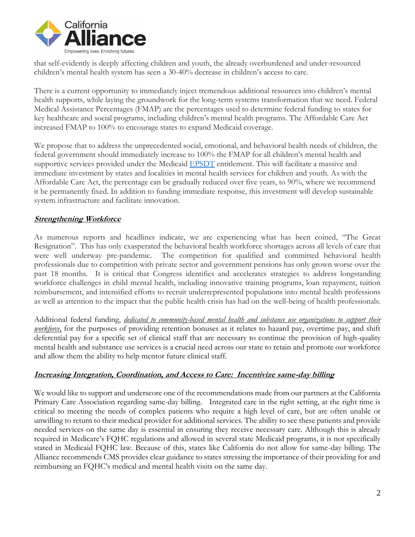

that self-evidently is deeply affecting children and youth, the already overburdened and under-resourced children's mental health system has seen a 30-40% decrease in children's access to care.

There is a current opportunity to immediately inject tremendous additional resources into children's mental health supports, while laying the groundwork for the long-term systems transformation that we need. Federal Medical Assistance Percentages (FMAP) are the percentages used to determine federal funding to states for key healthcare and social programs, including children's mental health programs. The Affordable Care Act increased FMAP to 100% to encourage states to expand Medicaid coverage.

We propose that to address the unprecedented social, emotional, and behavioral health needs of children, the federal government should immediately increase to 100% the FMAP for all children's mental health and supportive services provided under the Medicaid **EPSDT** entitlement. This will facilitate a massive and immediate investment by states and localities in mental health services for children and youth. As with the Affordable Care Act, the percentage can be gradually reduced over five years, to 90%, where we recommend it be permanently fixed. In addition to funding immediate response, this investment will develop sustainable system infrastructure and facilitate innovation.

#### **Strengthening Workforce**

As numerous reports and headlines indicate, we are experiencing what has been coined, "The Great Resignation". This has only exasperated the behavioral health workforce shortages across all levels of care that were well underway pre-pandemic. The competition for qualified and committed behavioral health professionals due to competition with private sector and government pensions has only grown worse over the past 18 months. It is critical that Congress identifies and accelerates strategies to address longstanding workforce challenges in child mental health, including innovative training programs, loan repayment, tuition reimbursement, and intensified efforts to recruit underrepresented populations into mental health professions as well as attention to the impact that the public health crisis has had on the well-being of health professionals.

Additional federal funding, *dedicated to community-based mental health and substance use organizations to support their workforce*, for the purposes of providing retention bonuses as it relates to hazard pay, overtime pay, and shift deferential pay for a specific set of clinical staff that are necessary to continue the provision of high-quality mental health and substance use services is a crucial need across our state to retain and promote our workforce and allow them the ability to help mentor future clinical staff.

#### **Increasing Integration, Coordination, and Access to Care: Incentivize same-day billing**

We would like to support and underscore one of the recommendations made from our partners at the California Primary Care Association regarding same-day billing. Integrated care in the right setting, at the right time is critical to meeting the needs of complex patients who require a high level of care, but are often unable or unwilling to return to their medical provider for additional services. The ability to see these patients and provide needed services on the same day is essential in ensuring they receive necessary care. Although this is already required in Medicare's FQHC regulations and allowed in several state Medicaid programs, it is not specifically stated in Medicaid FQHC law. Because of this, states like California do not allow for same-day billing. The Alliance recommends CMS provides clear guidance to states stressing the importance of their providing for and reimbursing an FQHC's medical and mental health visits on the same day.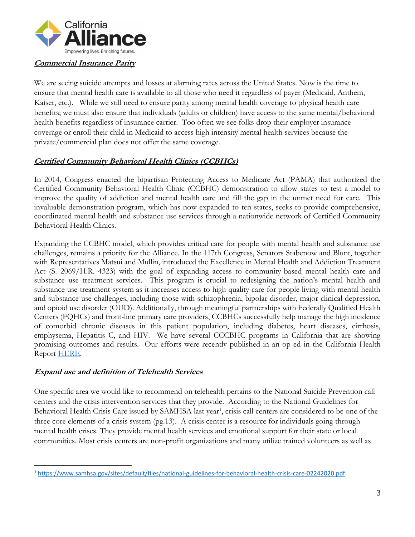

## **Commercial Insurance Parity**

We are seeing suicide attempts and losses at alarming rates across the United States. Now is the time to ensure that mental health care is available to all those who need it regardless of payer (Medicaid, Anthem, Kaiser, etc.). While we still need to ensure parity among mental health coverage to physical health care benefits; we must also ensure that individuals (adults or children) have access to the same mental/behavioral health benefits regardless of insurance carrier. Too often we see folks drop their employer insurance coverage or enroll their child in Medicaid to access high intensity mental health services because the private/commercial plan does not offer the same coverage.

# **Certified Community Behavioral Health Clinics (CCBHCs)**

In 2014, Congress enacted the bipartisan Protecting Access to Medicare Act (PAMA) that authorized the Certified Community Behavioral Health Clinic (CCBHC) demonstration to allow states to test a model to improve the quality of addiction and mental health care and fill the gap in the unmet need for care. This invaluable demonstration program, which has now expanded to ten states, seeks to provide comprehensive, coordinated mental health and substance use services through a nationwide network of Certified Community Behavioral Health Clinics.

Expanding the CCBHC model, which provides critical care for people with mental health and substance use challenges, remains a priority for the Alliance. In the 117th Congress, Senators Stabenow and Blunt, together with Representatives Matsui and Mullin, introduced the Excellence in Mental Health and Addiction Treatment Act (S. 2069/H.R. 4323) with the goal of expanding access to community-based mental health care and substance use treatment services. This program is crucial to redesigning the nation's mental health and substance use treatment system as it increases access to high quality care for people living with mental health and substance use challenges, including those with schizophrenia, bipolar disorder, major clinical depression, and opioid use disorder (OUD). Additionally, through meaningful partnerships with Federally Qualified Health Centers (FQHCs) and front-line primary care providers, CCBHCs successfully help manage the high incidence of comorbid chronic diseases in this patient population, including diabetes, heart diseases, cirrhosis, emphysema, Hepatitis C, and HIV. We have several CCCBHC programs in California that are showing promising outcomes and results. Our efforts were recently published in an op-ed in the California Health Report [HERE.](https://www.calhealthreport.org/2021/09/22/opinion-congress-must-act-to-address-californias-mental-health-and-substance-use-crises/)

## **Expand use and definition of Telehealth Services**

One specific area we would like to recommend on telehealth pertains to the National Suicide Prevention call centers and the crisis intervention services that they provide. According to the National Guidelines for Behavioral Health Crisis Care issued by SAMHSA last year<sup>1</sup>, crisis call centers are considered to be one of the three core elements of a crisis system (pg.13). A crisis center is a resource for individuals going through mental health crises. They provide mental health services and emotional support for their state or local communities. Most crisis centers are non-profit organizations and many utilize trained volunteers as well as

<sup>1</sup> <https://www.samhsa.gov/sites/default/files/national-guidelines-for-behavioral-health-crisis-care-02242020.pdf>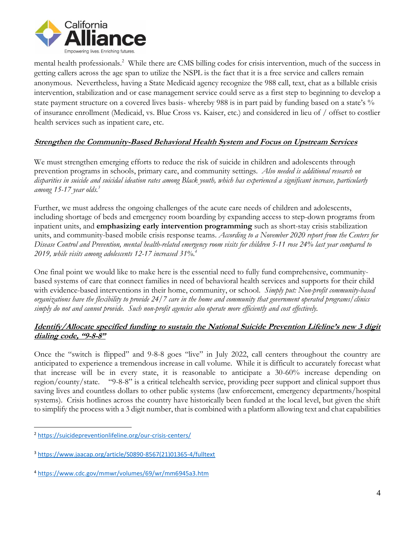

mental health professionals.<sup>2</sup> While there are CMS billing codes for crisis intervention, much of the success in getting callers across the age span to utilize the NSPL is the fact that it is a free service and callers remain anonymous. Nevertheless, having a State Medicaid agency recognize the 988 call, text, chat as a billable crisis intervention, stabilization and or case management service could serve as a first step to beginning to develop a state payment structure on a covered lives basis- whereby 988 is in part paid by funding based on a state's % of insurance enrollment (Medicaid, vs. Blue Cross vs. Kaiser, etc.) and considered in lieu of / offset to costlier health services such as inpatient care, etc.

# **Strengthen the Community-Based Behavioral Health System and Focus on Upstream Services**

We must strengthen emerging efforts to reduce the risk of suicide in children and adolescents through prevention programs in schools, primary care, and community settings. *Also needed is additional research on* disparities in suicide and suicidal ideation rates among Black youth, which has experienced a significant increase, particularly *among 15-17 year olds.<sup>3</sup>*

Further, we must address the ongoing challenges of the acute care needs of children and adolescents, including shortage of beds and emergency room boarding by expanding access to step-down programs from inpatient units, and **emphasizing early intervention programming** such as short-stay crisis stabilization units, and community-based mobile crisis response teams. *According to a November 2020 report from the Centers for* Disease Control and Prevention, mental health-related emergency room visits for children 5-11 rose 24% last year compared to *2019, while visits among adolescents 12-17 increased 31%.<sup>4</sup>*

One final point we would like to make here is the essential need to fully fund comprehensive, communitybased systems of care that connect families in need of behavioral health services and supports for their child with evidence-based interventions in their home, community, or school.*Simply put: Non-profit community-based* organizations have the flexibility to provide 24/7 care in the home and community that government operated programs/clinics *simply do not and cannot provide. Such non-profit agencies also operate more efficiently and cost effectively.*

## **Identify/Allocate specified funding to sustain the National Suicide Prevention Lifeline's new 3 digit dialing code, "9-8-8"**

Once the "switch is flipped" and 9-8-8 goes "live" in July 2022, call centers throughout the country are anticipated to experience a tremendous increase in call volume. While it is difficult to accurately forecast what that increase will be in every state, it is reasonable to anticipate a 30-60% increase depending on region/county/state. "9-8-8" is a critical telehealth service, providing peer support and clinical support thus saving lives and countless dollars to other public systems (law enforcement, emergency departments/hospital systems). Crisis hotlines across the country have historically been funded at the local level, but given the shift to simplify the process with a 3 digit number, that is combined with a platform allowing text and chat capabilities

<sup>2</sup> <https://suicidepreventionlifeline.org/our-crisis-centers/>

<sup>3</sup> [https://www.jaacap.org/article/S0890-8567\(21\)01365-4/fulltext](https://www.jaacap.org/article/S0890-8567(21)01365-4/fulltext)

<sup>4</sup> <https://www.cdc.gov/mmwr/volumes/69/wr/mm6945a3.htm>